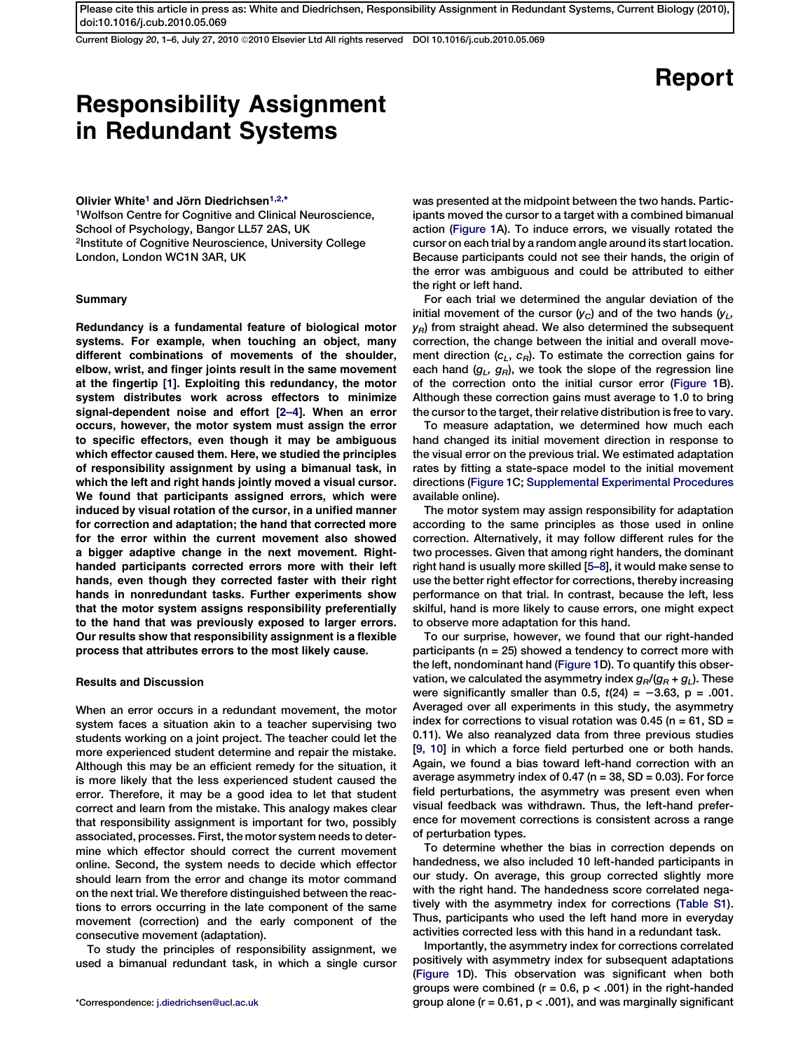Current Biology 20, 1–6, July 27, 2010 ª2010 Elsevier Ltd All rights reserved DOI 10.1016/j.cub.2010.05.069

# Report

## Responsibility Assignment in Redundant Systems

## Olivier White<sup>1</sup> and Jörn Diedrichsen<sup>1,2,\*</sup>

1Wolfson Centre for Cognitive and Clinical Neuroscience, School of Psychology, Bangor LL57 2AS, UK 2Institute of Cognitive Neuroscience, University College London, London WC1N 3AR, UK

## Summary

Redundancy is a fundamental feature of biological motor systems. For example, when touching an object, many different combinations of movements of the shoulder, elbow, wrist, and finger joints result in the same movement at the fingertip [\[1\]](#page-4-0). Exploiting this redundancy, the motor system distributes work across effectors to minimize signal-dependent noise and effort [\[2–4\]](#page-4-0). When an error occurs, however, the motor system must assign the error to specific effectors, even though it may be ambiguous which effector caused them. Here, we studied the principles of responsibility assignment by using a bimanual task, in which the left and right hands jointly moved a visual cursor. We found that participants assigned errors, which were induced by visual rotation of the cursor, in a unified manner for correction and adaptation; the hand that corrected more for the error within the current movement also showed a bigger adaptive change in the next movement. Righthanded participants corrected errors more with their left hands, even though they corrected faster with their right hands in nonredundant tasks. Further experiments show that the motor system assigns responsibility preferentially to the hand that was previously exposed to larger errors. Our results show that responsibility assignment is a flexible process that attributes errors to the most likely cause.

## Results and Discussion

When an error occurs in a redundant movement, the motor system faces a situation akin to a teacher supervising two students working on a joint project. The teacher could let the more experienced student determine and repair the mistake. Although this may be an efficient remedy for the situation, it is more likely that the less experienced student caused the error. Therefore, it may be a good idea to let that student correct and learn from the mistake. This analogy makes clear that responsibility assignment is important for two, possibly associated, processes. First, the motor system needs to determine which effector should correct the current movement online. Second, the system needs to decide which effector should learn from the error and change its motor command on the next trial. We therefore distinguished between the reactions to errors occurring in the late component of the same movement (correction) and the early component of the consecutive movement (adaptation).

To study the principles of responsibility assignment, we used a bimanual redundant task, in which a single cursor

was presented at the midpoint between the two hands. Participants moved the cursor to a target with a combined bimanual action [\(Figure 1A](#page-1-0)). To induce errors, we visually rotated the cursor on each trial by a random angle around its start location. Because participants could not see their hands, the origin of the error was ambiguous and could be attributed to either the right or left hand.

For each trial we determined the angular deviation of the initial movement of the cursor  $(y_C)$  and of the two hands  $(y_L,$  $y_R$ ) from straight ahead. We also determined the subsequent correction, the change between the initial and overall movement direction  $(c_L, c_R)$ . To estimate the correction gains for each hand  $(g_L, g_R)$ , we took the slope of the regression line of the correction onto the initial cursor error ([Figure 1B](#page-1-0)). Although these correction gains must average to 1.0 to bring the cursor to the target, their relative distribution is free to vary.

To measure adaptation, we determined how much each hand changed its initial movement direction in response to the visual error on the previous trial. We estimated adaptation rates by fitting a state-space model to the initial movement directions ([Figure 1C](#page-1-0); [Supplemental Experimental Procedures](#page-4-0) available online).

The motor system may assign responsibility for adaptation according to the same principles as those used in online correction. Alternatively, it may follow different rules for the two processes. Given that among right handers, the dominant right hand is usually more skilled [[5–8](#page-4-0)], it would make sense to use the better right effector for corrections, thereby increasing performance on that trial. In contrast, because the left, less skilful, hand is more likely to cause errors, one might expect to observe more adaptation for this hand.

To our surprise, however, we found that our right-handed participants (n = 25) showed a tendency to correct more with the left, nondominant hand ([Figure 1D](#page-1-0)). To quantify this observation, we calculated the asymmetry index  $g_R/(g_R + g_L)$ . These were significantly smaller than 0.5,  $t(24) = -3.63$ , p = .001. Averaged over all experiments in this study, the asymmetry index for corrections to visual rotation was 0.45 ( $n = 61$ , SD = 0.11). We also reanalyzed data from three previous studies [[9, 10](#page-4-0)] in which a force field perturbed one or both hands. Again, we found a bias toward left-hand correction with an average asymmetry index of 0.47 ( $n = 38$ , SD = 0.03). For force field perturbations, the asymmetry was present even when visual feedback was withdrawn. Thus, the left-hand preference for movement corrections is consistent across a range of perturbation types.

To determine whether the bias in correction depends on handedness, we also included 10 left-handed participants in our study. On average, this group corrected slightly more with the right hand. The handedness score correlated negatively with the asymmetry index for corrections [\(Table S1\)](#page-4-0). Thus, participants who used the left hand more in everyday activities corrected less with this hand in a redundant task.

Importantly, the asymmetry index for corrections correlated positively with asymmetry index for subsequent adaptations ([Figure 1D](#page-1-0)). This observation was significant when both groups were combined ( $r = 0.6$ ,  $p < .001$ ) in the right-handed \*Correspondence: [j.diedrichsen@ucl.ac.uk](mailto:j.diedrichsen@ucl.ac.uk) group alone (r = 0.61, p < .001), and was marginally significant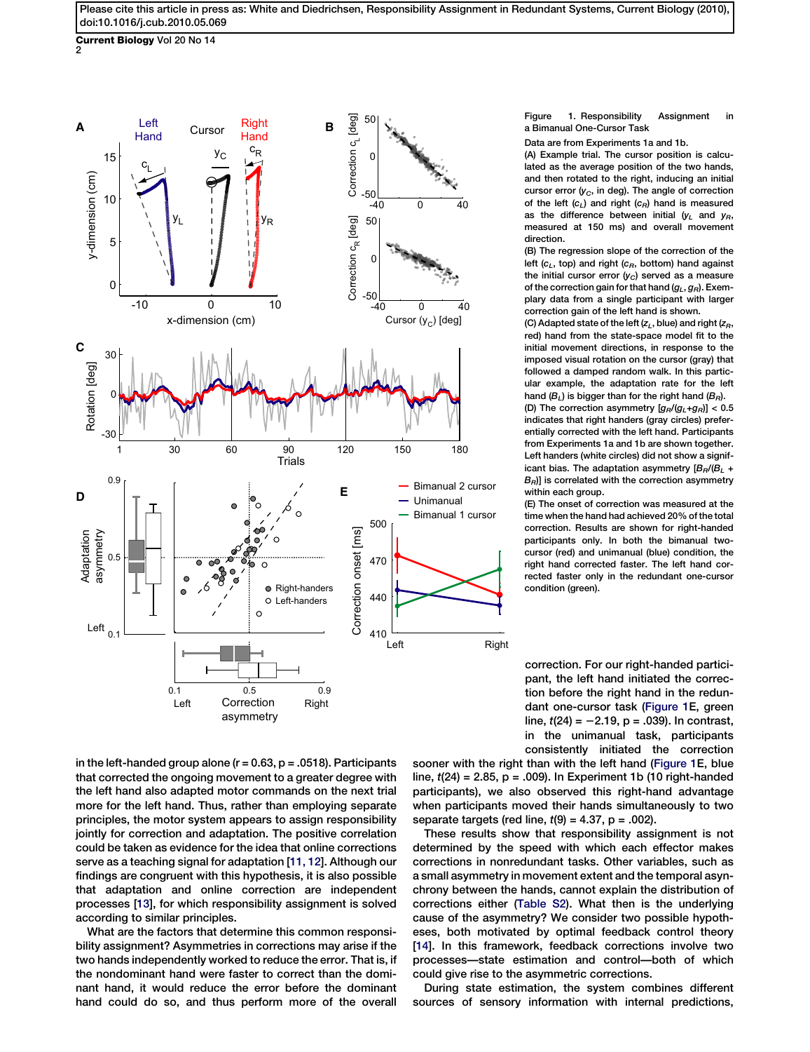<span id="page-1-0"></span>**Current Biology** Vol 20 No 14<br>2



in the left-handed group alone  $(r = 0.63, p = .0518)$ . Participants that corrected the ongoing movement to a greater degree with the left hand also adapted motor commands on the next trial more for the left hand. Thus, rather than employing separate principles, the motor system appears to assign responsibility jointly for correction and adaptation. The positive correlation could be taken as evidence for the idea that online corrections serve as a teaching signal for adaptation [\[11, 12\]](#page-4-0). Although our findings are congruent with this hypothesis, it is also possible that adaptation and online correction are independent processes [\[13](#page-4-0)], for which responsibility assignment is solved according to similar principles.

What are the factors that determine this common responsibility assignment? Asymmetries in corrections may arise if the two hands independently worked to reduce the error. That is, if the nondominant hand were faster to correct than the dominant hand, it would reduce the error before the dominant hand could do so, and thus perform more of the overall

## Figure 1. Responsibility Assignment in a Bimanual One-Cursor Task

Data are from Experiments 1a and 1b.

(A) Example trial. The cursor position is calculated as the average position of the two hands, and then rotated to the right, inducing an initial cursor error  $(y_C,$  in deg). The angle of correction of the left  $(c_L)$  and right  $(c_R)$  hand is measured as the difference between initial  $(y_L$  and  $y_R$ , measured at 150 ms) and overall movement direction.

(B) The regression slope of the correction of the left ( $c_L$ , top) and right ( $c_R$ , bottom) hand against the initial cursor error  $(y_C)$  served as a measure of the correction gain for that hand  $(g_L, g_R)$ . Exemplary data from a single participant with larger correction gain of the left hand is shown.

(C) Adapted state of the left  $(z_L,$  blue) and right  $(z_R,$ red) hand from the state-space model fit to the initial movement directions, in response to the imposed visual rotation on the cursor (gray) that followed a damped random walk. In this particular example, the adaptation rate for the left hand  $(B_L)$  is bigger than for the right hand  $(B_R)$ . (D) The correction asymmetry  $[a_B/(a_1+a_B)] < 0.5$ 

indicates that right handers (gray circles) preferentially corrected with the left hand. Participants from Experiments 1a and 1b are shown together. Left handers (white circles) did not show a significant bias. The adaptation asymmetry  $[B_R/(B_L +$  $B<sub>B</sub>$ ] is correlated with the correction asymmetry within each group.

(E) The onset of correction was measured at the time when the hand had achieved 20% of the total correction. Results are shown for right-handed participants only. In both the bimanual twocursor (red) and unimanual (blue) condition, the right hand corrected faster. The left hand corrected faster only in the redundant one-cursor condition (green).

correction. For our right-handed participant, the left hand initiated the correction before the right hand in the redundant one-cursor task (Figure 1E, green line,  $t(24) = -2.19$ ,  $p = .039$ ). In contrast, in the unimanual task, participants consistently initiated the correction

sooner with the right than with the left hand (Figure 1E, blue line,  $t(24) = 2.85$ ,  $p = .009$ ). In Experiment 1b (10 right-handed participants), we also observed this right-hand advantage when participants moved their hands simultaneously to two separate targets (red line,  $t(9) = 4.37$ ,  $p = .002$ ).

These results show that responsibility assignment is not determined by the speed with which each effector makes corrections in nonredundant tasks. Other variables, such as a small asymmetry in movement extent and the temporal asynchrony between the hands, cannot explain the distribution of corrections either [\(Table S2\)](#page-4-0). What then is the underlying cause of the asymmetry? We consider two possible hypotheses, both motivated by optimal feedback control theory [[14](#page-4-0)]. In this framework, feedback corrections involve two processes—state estimation and control—both of which could give rise to the asymmetric corrections.

During state estimation, the system combines different sources of sensory information with internal predictions,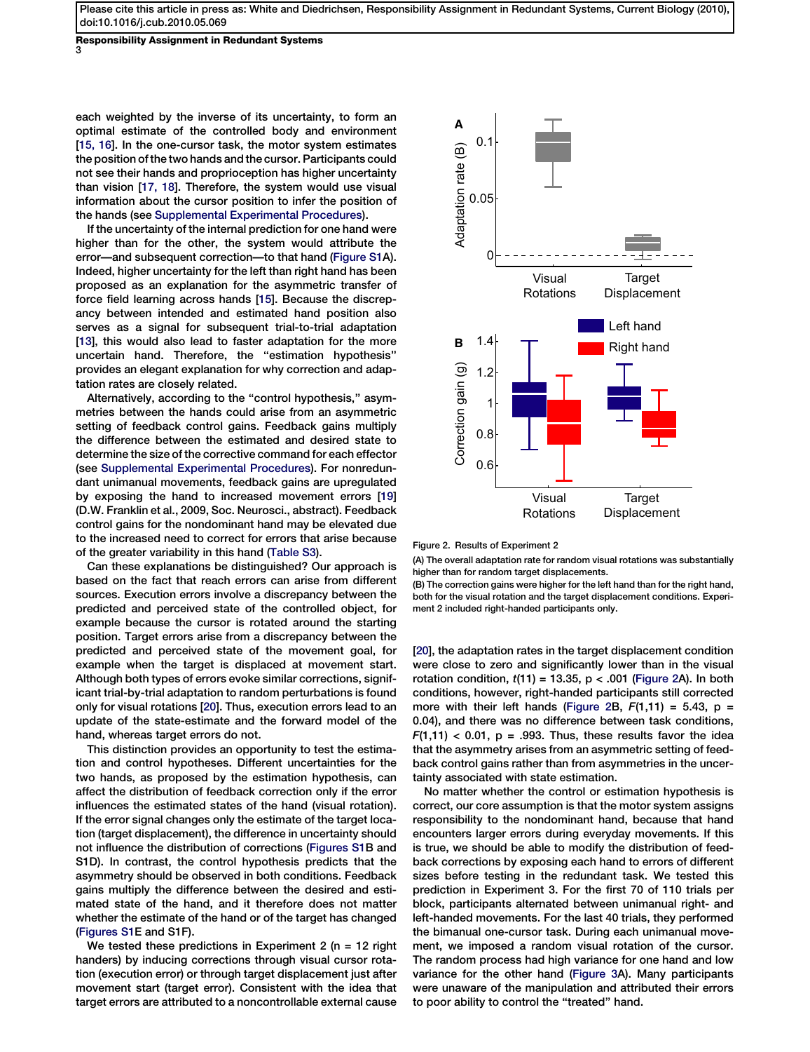Responsibility Assignment in Redundant Systems 3

each weighted by the inverse of its uncertainty, to form an optimal estimate of the controlled body and environment [[15, 16](#page-4-0)]. In the one-cursor task, the motor system estimates the position of the two hands and the cursor. Participants could not see their hands and proprioception has higher uncertainty than vision [[17, 18\]](#page-4-0). Therefore, the system would use visual information about the cursor position to infer the position of the hands (see [Supplemental Experimental Procedures\)](#page-4-0).

If the uncertainty of the internal prediction for one hand were higher than for the other, the system would attribute the error—and subsequent correction—to that hand [\(Figure S1](#page-4-0)A). Indeed, higher uncertainty for the left than right hand has been proposed as an explanation for the asymmetric transfer of force field learning across hands [[15](#page-4-0)]. Because the discrepancy between intended and estimated hand position also serves as a signal for subsequent trial-to-trial adaptation [[13](#page-4-0)], this would also lead to faster adaptation for the more uncertain hand. Therefore, the ''estimation hypothesis'' provides an elegant explanation for why correction and adaptation rates are closely related.

Alternatively, according to the ''control hypothesis,'' asymmetries between the hands could arise from an asymmetric setting of feedback control gains. Feedback gains multiply the difference between the estimated and desired state to determine the size of the corrective command for each effector (see [Supplemental Experimental Procedures](#page-4-0)). For nonredundant unimanual movements, feedback gains are upregulated by exposing the hand to increased movement errors [[19](#page-5-0)] (D.W. Franklin et al., 2009, Soc. Neurosci., abstract). Feedback control gains for the nondominant hand may be elevated due to the increased need to correct for errors that arise because of the greater variability in this hand [\(Table S3](#page-4-0)).

Can these explanations be distinguished? Our approach is based on the fact that reach errors can arise from different sources. Execution errors involve a discrepancy between the predicted and perceived state of the controlled object, for example because the cursor is rotated around the starting position. Target errors arise from a discrepancy between the predicted and perceived state of the movement goal, for example when the target is displaced at movement start. Although both types of errors evoke similar corrections, significant trial-by-trial adaptation to random perturbations is found only for visual rotations [[20\]](#page-5-0). Thus, execution errors lead to an update of the state-estimate and the forward model of the hand, whereas target errors do not.

This distinction provides an opportunity to test the estimation and control hypotheses. Different uncertainties for the two hands, as proposed by the estimation hypothesis, can affect the distribution of feedback correction only if the error influences the estimated states of the hand (visual rotation). If the error signal changes only the estimate of the target location (target displacement), the difference in uncertainty should not influence the distribution of corrections ([Figures S1](#page-4-0)B and S1D). In contrast, the control hypothesis predicts that the asymmetry should be observed in both conditions. Feedback gains multiply the difference between the desired and estimated state of the hand, and it therefore does not matter whether the estimate of the hand or of the target has changed ([Figures S1](#page-4-0)E and S1F).

We tested these predictions in Experiment 2 ( $n = 12$  right handers) by inducing corrections through visual cursor rotation (execution error) or through target displacement just after movement start (target error). Consistent with the idea that target errors are attributed to a noncontrollable external cause



Figure 2. Results of Experiment 2

(A) The overall adaptation rate for random visual rotations was substantially higher than for random target displacements.

(B) The correction gains were higher for the left hand than for the right hand, both for the visual rotation and the target displacement conditions. Experiment 2 included right-handed participants only.

[[20](#page-5-0)], the adaptation rates in the target displacement condition were close to zero and significantly lower than in the visual rotation condition,  $t(11) = 13.35$ ,  $p < .001$  (Figure 2A). In both conditions, however, right-handed participants still corrected more with their left hands (Figure 2B,  $F(1,11) = 5.43$ ,  $p =$ 0.04), and there was no difference between task conditions,  $F(1,11)$  < 0.01, p = .993. Thus, these results favor the idea that the asymmetry arises from an asymmetric setting of feedback control gains rather than from asymmetries in the uncertainty associated with state estimation.

No matter whether the control or estimation hypothesis is correct, our core assumption is that the motor system assigns responsibility to the nondominant hand, because that hand encounters larger errors during everyday movements. If this is true, we should be able to modify the distribution of feedback corrections by exposing each hand to errors of different sizes before testing in the redundant task. We tested this prediction in Experiment 3. For the first 70 of 110 trials per block, participants alternated between unimanual right- and left-handed movements. For the last 40 trials, they performed the bimanual one-cursor task. During each unimanual movement, we imposed a random visual rotation of the cursor. The random process had high variance for one hand and low variance for the other hand ([Figure 3](#page-3-0)A). Many participants were unaware of the manipulation and attributed their errors to poor ability to control the ''treated'' hand.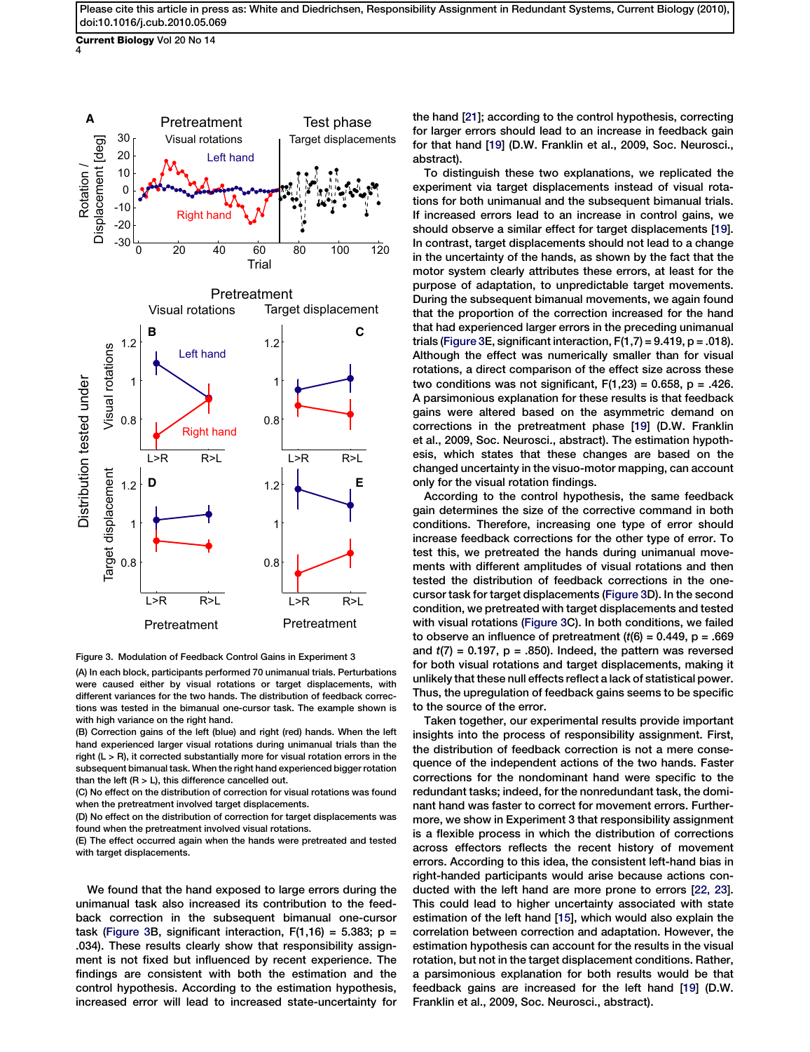<span id="page-3-0"></span>Current Biology Vol 20 No 14 4



Figure 3. Modulation of Feedback Control Gains in Experiment 3

(A) In each block, participants performed 70 unimanual trials. Perturbations were caused either by visual rotations or target displacements, with different variances for the two hands. The distribution of feedback corrections was tested in the bimanual one-cursor task. The example shown is with high variance on the right hand.

(B) Correction gains of the left (blue) and right (red) hands. When the left hand experienced larger visual rotations during unimanual trials than the right (L > R), it corrected substantially more for visual rotation errors in the subsequent bimanual task. When the right hand experienced bigger rotation than the left  $(R > L)$ , this difference cancelled out.

(C) No effect on the distribution of correction for visual rotations was found when the pretreatment involved target displacements.

(D) No effect on the distribution of correction for target displacements was found when the pretreatment involved visual rotations.

(E) The effect occurred again when the hands were pretreated and tested with target displacements.

We found that the hand exposed to large errors during the unimanual task also increased its contribution to the feedback correction in the subsequent bimanual one-cursor task (Figure 3B, significant interaction,  $F(1,16) = 5.383$ ; p = .034). These results clearly show that responsibility assignment is not fixed but influenced by recent experience. The findings are consistent with both the estimation and the control hypothesis. According to the estimation hypothesis, increased error will lead to increased state-uncertainty for

the hand [[21\]](#page-5-0); according to the control hypothesis, correcting for larger errors should lead to an increase in feedback gain for that hand [\[19\]](#page-5-0) (D.W. Franklin et al., 2009, Soc. Neurosci., abstract).

To distinguish these two explanations, we replicated the experiment via target displacements instead of visual rotations for both unimanual and the subsequent bimanual trials. If increased errors lead to an increase in control gains, we should observe a similar effect for target displacements [\[19\]](#page-5-0). In contrast, target displacements should not lead to a change in the uncertainty of the hands, as shown by the fact that the motor system clearly attributes these errors, at least for the purpose of adaptation, to unpredictable target movements. During the subsequent bimanual movements, we again found that the proportion of the correction increased for the hand that had experienced larger errors in the preceding unimanual trials (Figure 3E, significant interaction,  $F(1,7) = 9.419$ ,  $p = .018$ ). Although the effect was numerically smaller than for visual rotations, a direct comparison of the effect size across these two conditions was not significant,  $F(1,23) = 0.658$ ,  $p = .426$ . A parsimonious explanation for these results is that feedback gains were altered based on the asymmetric demand on corrections in the pretreatment phase [[19\]](#page-5-0) (D.W. Franklin et al., 2009, Soc. Neurosci., abstract). The estimation hypothesis, which states that these changes are based on the changed uncertainty in the visuo-motor mapping, can account only for the visual rotation findings.

According to the control hypothesis, the same feedback gain determines the size of the corrective command in both conditions. Therefore, increasing one type of error should increase feedback corrections for the other type of error. To test this, we pretreated the hands during unimanual movements with different amplitudes of visual rotations and then tested the distribution of feedback corrections in the onecursor task for target displacements (Figure 3D). In the second condition, we pretreated with target displacements and tested with visual rotations (Figure 3C). In both conditions, we failed to observe an influence of pretreatment  $(t/6) = 0.449$ , p = .669 and  $t(7) = 0.197$ ,  $p = .850$ ). Indeed, the pattern was reversed for both visual rotations and target displacements, making it unlikely that these null effects reflect a lack of statistical power. Thus, the upregulation of feedback gains seems to be specific to the source of the error.

Taken together, our experimental results provide important insights into the process of responsibility assignment. First, the distribution of feedback correction is not a mere consequence of the independent actions of the two hands. Faster corrections for the nondominant hand were specific to the redundant tasks; indeed, for the nonredundant task, the dominant hand was faster to correct for movement errors. Furthermore, we show in Experiment 3 that responsibility assignment is a flexible process in which the distribution of corrections across effectors reflects the recent history of movement errors. According to this idea, the consistent left-hand bias in right-handed participants would arise because actions conducted with the left hand are more prone to errors [\[22, 23\]](#page-5-0). This could lead to higher uncertainty associated with state estimation of the left hand [[15](#page-4-0)], which would also explain the correlation between correction and adaptation. However, the estimation hypothesis can account for the results in the visual rotation, but not in the target displacement conditions. Rather, a parsimonious explanation for both results would be that feedback gains are increased for the left hand [[19](#page-5-0)] (D.W. Franklin et al., 2009, Soc. Neurosci., abstract).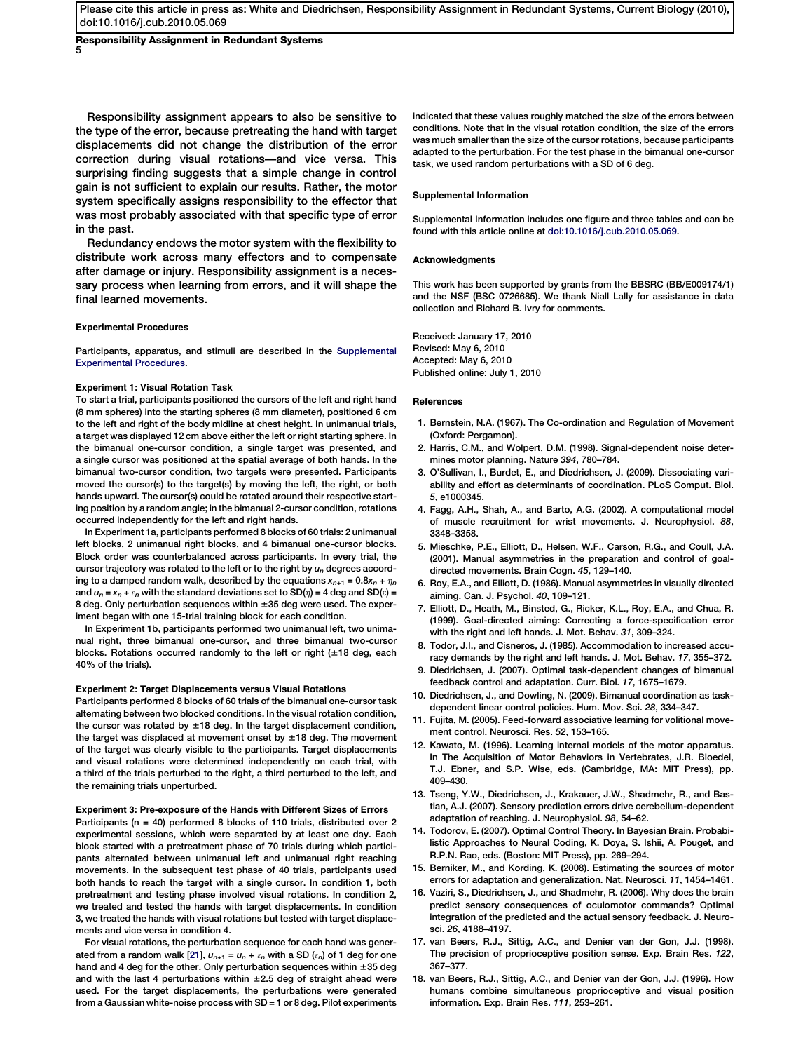<span id="page-4-0"></span>Responsibility Assignment in Redundant Systems 5

Responsibility assignment appears to also be sensitive to the type of the error, because pretreating the hand with target displacements did not change the distribution of the error correction during visual rotations—and vice versa. This surprising finding suggests that a simple change in control gain is not sufficient to explain our results. Rather, the motor system specifically assigns responsibility to the effector that was most probably associated with that specific type of error in the past.

Redundancy endows the motor system with the flexibility to distribute work across many effectors and to compensate after damage or injury. Responsibility assignment is a necessary process when learning from errors, and it will shape the final learned movements.

## Experimental Procedures

Participants, apparatus, and stimuli are described in the Supplemental Experimental Procedures.

#### Experiment 1: Visual Rotation Task

To start a trial, participants positioned the cursors of the left and right hand (8 mm spheres) into the starting spheres (8 mm diameter), positioned 6 cm to the left and right of the body midline at chest height. In unimanual trials, a target was displayed 12 cm above either the left or right starting sphere. In the bimanual one-cursor condition, a single target was presented, and a single cursor was positioned at the spatial average of both hands. In the bimanual two-cursor condition, two targets were presented. Participants moved the cursor(s) to the target(s) by moving the left, the right, or both hands upward. The cursor(s) could be rotated around their respective starting position by a random angle; in the bimanual 2-cursor condition, rotations occurred independently for the left and right hands.

In Experiment 1a, participants performed 8 blocks of 60 trials: 2 unimanual left blocks, 2 unimanual right blocks, and 4 bimanual one-cursor blocks. Block order was counterbalanced across participants. In every trial, the cursor trajectory was rotated to the left or to the right by  $u_n$  degrees according to a damped random walk, described by the equations  $x_{n+1} = 0.8x_n + \eta_n$ and  $u_n = x_n + \varepsilon_n$  with the standard deviations set to SD( $\eta$ ) = 4 deg and SD( $\varepsilon$ ) = 8 deg. Only perturbation sequences within  $\pm 35$  deg were used. The experiment began with one 15-trial training block for each condition.

In Experiment 1b, participants performed two unimanual left, two unimanual right, three bimanual one-cursor, and three bimanual two-cursor blocks. Rotations occurred randomly to the left or right  $(\pm 18$  deg, each 40% of the trials).

## Experiment 2: Target Displacements versus Visual Rotations

Participants performed 8 blocks of 60 trials of the bimanual one-cursor task alternating between two blocked conditions. In the visual rotation condition, the cursor was rotated by  $\pm 18$  deg. In the target displacement condition, the target was displaced at movement onset by  $\pm 18$  deg. The movement of the target was clearly visible to the participants. Target displacements and visual rotations were determined independently on each trial, with a third of the trials perturbed to the right, a third perturbed to the left, and the remaining trials unperturbed.

## Experiment 3: Pre-exposure of the Hands with Different Sizes of Errors

Participants (n = 40) performed 8 blocks of 110 trials, distributed over 2 experimental sessions, which were separated by at least one day. Each block started with a pretreatment phase of 70 trials during which participants alternated between unimanual left and unimanual right reaching movements. In the subsequent test phase of 40 trials, participants used both hands to reach the target with a single cursor. In condition 1, both pretreatment and testing phase involved visual rotations. In condition 2, we treated and tested the hands with target displacements. In condition 3, we treated the hands with visual rotations but tested with target displacements and vice versa in condition 4.

For visual rotations, the perturbation sequence for each hand was gener-ated from a random walk [\[21](#page-5-0)],  $u_{n+1} = u_n + \varepsilon_n$  with a SD  $(\varepsilon_n)$  of 1 deg for one hand and 4 deg for the other. Only perturbation sequences within  $\pm 35$  deg and with the last 4 perturbations within  $\pm 2.5$  deg of straight ahead were used. For the target displacements, the perturbations were generated from a Gaussian white-noise process with SD = 1 or 8 deg. Pilot experiments

indicated that these values roughly matched the size of the errors between conditions. Note that in the visual rotation condition, the size of the errors was much smaller than the size of the cursor rotations, because participants adapted to the perturbation. For the test phase in the bimanual one-cursor task, we used random perturbations with a SD of 6 deg.

## Supplemental Information

Supplemental Information includes one figure and three tables and can be found with this article online at [doi:10.1016/j.cub.2010.05.069](http://dx.doi.org/doi:10.1016/j.cub.2010.05.069).

## Acknowledgments

This work has been supported by grants from the BBSRC (BB/E009174/1) and the NSF (BSC 0726685). We thank Niall Lally for assistance in data collection and Richard B. Ivry for comments.

Received: January 17, 2010 Revised: May 6, 2010 Accepted: May 6, 2010 Published online: July 1, 2010

#### References

- 1. Bernstein, N.A. (1967). The Co-ordination and Regulation of Movement (Oxford: Pergamon).
- 2. Harris, C.M., and Wolpert, D.M. (1998). Signal-dependent noise determines motor planning. Nature 394, 780–784.
- 3. O'Sullivan, I., Burdet, E., and Diedrichsen, J. (2009). Dissociating variability and effort as determinants of coordination. PLoS Comput. Biol. 5, e1000345.
- 4. Fagg, A.H., Shah, A., and Barto, A.G. (2002). A computational model of muscle recruitment for wrist movements. J. Neurophysiol. 88, 3348–3358.
- 5. Mieschke, P.E., Elliott, D., Helsen, W.F., Carson, R.G., and Coull, J.A. (2001). Manual asymmetries in the preparation and control of goaldirected movements. Brain Cogn. 45, 129–140.
- 6. Roy, E.A., and Elliott, D. (1986). Manual asymmetries in visually directed aiming. Can. J. Psychol. 40, 109–121.
- 7. Elliott, D., Heath, M., Binsted, G., Ricker, K.L., Roy, E.A., and Chua, R. (1999). Goal-directed aiming: Correcting a force-specification error with the right and left hands. J. Mot. Behav. 31, 309–324.
- 8. Todor, J.I., and Cisneros, J. (1985). Accommodation to increased accuracy demands by the right and left hands. J. Mot. Behav. 17, 355–372.
- 9. Diedrichsen, J. (2007). Optimal task-dependent changes of bimanual feedback control and adaptation. Curr. Biol. 17, 1675–1679.
- 10. Diedrichsen, J., and Dowling, N. (2009). Bimanual coordination as taskdependent linear control policies. Hum. Mov. Sci. 28, 334–347.
- 11. Fujita, M. (2005). Feed-forward associative learning for volitional movement control. Neurosci. Res. 52, 153–165.
- 12. Kawato, M. (1996). Learning internal models of the motor apparatus. In The Acquisition of Motor Behaviors in Vertebrates, J.R. Bloedel, T.J. Ebner, and S.P. Wise, eds. (Cambridge, MA: MIT Press), pp. 409–430.
- 13. Tseng, Y.W., Diedrichsen, J., Krakauer, J.W., Shadmehr, R., and Bastian, A.J. (2007). Sensory prediction errors drive cerebellum-dependent adaptation of reaching. J. Neurophysiol. 98, 54–62.
- 14. Todorov, E. (2007). Optimal Control Theory. In Bayesian Brain. Probabilistic Approaches to Neural Coding, K. Doya, S. Ishii, A. Pouget, and R.P.N. Rao, eds. (Boston: MIT Press), pp. 269–294.
- 15. Berniker, M., and Kording, K. (2008). Estimating the sources of motor errors for adaptation and generalization. Nat. Neurosci. 11, 1454–1461.
- 16. Vaziri, S., Diedrichsen, J., and Shadmehr, R. (2006). Why does the brain predict sensory consequences of oculomotor commands? Optimal integration of the predicted and the actual sensory feedback. J. Neurosci. 26, 4188–4197.
- 17. van Beers, R.J., Sittig, A.C., and Denier van der Gon, J.J. (1998). The precision of proprioceptive position sense. Exp. Brain Res. 122, 367–377.
- 18. van Beers, R.J., Sittig, A.C., and Denier van der Gon, J.J. (1996). How humans combine simultaneous proprioceptive and visual position information. Exp. Brain Res. 111, 253–261.